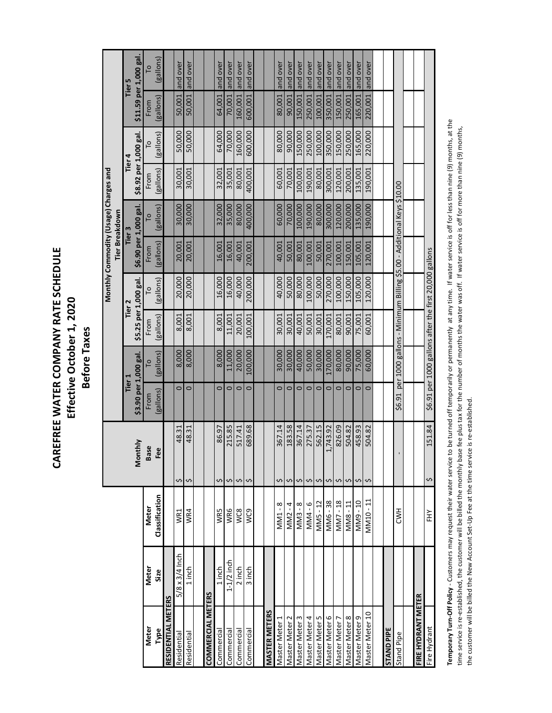## CAREFREE WATER COMPANY RATE SCHEDULE **CAREFREE WATER COMPANY RATE SCHEDULE** Effective October 1, 2020 **Effective October 1, 2020 Before Taxes Before Taxes**

|                      |                       |                         |               |                       |                                                                     |                       |           | Monthly Commodity (Usage) Charges and |           |                       |                |           |                        |
|----------------------|-----------------------|-------------------------|---------------|-----------------------|---------------------------------------------------------------------|-----------------------|-----------|---------------------------------------|-----------|-----------------------|----------------|-----------|------------------------|
|                      |                       |                         |               |                       |                                                                     |                       |           | Tier Breakdown                        |           |                       |                |           |                        |
|                      |                       |                         |               | Tier 1                |                                                                     | Tier <sub>2</sub>     |           | Tier 3                                |           | Tier 4                |                |           | Tier 5                 |
|                      |                       |                         | Monthly       | \$3.90 per 1,000 gal. |                                                                     | \$5.25 per 1,000 gal. |           | \$6.90 per 1,000 gal.                 |           | \$8.92 per 1,000 gal. |                |           | \$11.59 per 1,000 gal. |
| Meter                | Meter                 | Meter                   | <b>Base</b>   | From                  |                                                                     | From                  | P         | From                                  |           | From                  | $\overline{0}$ | From      | $\circ$                |
| Type                 | Size                  | Classification          | Fee           | (gallons)             | (gallons)                                                           | (gallons)             | (gallons) | (gallons)                             | (gallons) | (gallons)             | (gallons)      | (gallons) | (gallons)              |
| RESIDENTIAL METERS   |                       |                         |               |                       |                                                                     |                       |           |                                       |           |                       |                |           |                        |
| Residential          | $5/8 \times 3/4$ Inch | WR1                     | 48.31<br>Ş    | $\circ$               | 8,000                                                               | 8,001                 | 20,000    | 20,001                                | 30,000    | 30,001                | 50,000         | 50,001    | and over               |
| Residential          | $1$ in ch             | WR4                     | 48.31<br>Ş    | $\circ$               | 8,000                                                               | 8,001                 | 20,000    | 20,001                                | 30,000    | 30,001                | 50,000         | 50,001    | and over               |
|                      |                       |                         |               |                       |                                                                     |                       |           |                                       |           |                       |                |           |                        |
| COMMERCIAL METERS    |                       |                         |               |                       |                                                                     |                       |           |                                       |           |                       |                |           |                        |
| Commercial           | $1$ in ch             | WR5                     | 86.97<br>\$   | $\circ$               | 8,000                                                               | 8,001                 | 16,000    | 16,001                                | 32,000    | 32,001                | 64,000         | 64,001    | and over               |
| Commercial           | $1-1/2$ inch          | WR6                     | 215.85<br>Ş   | $\circ$               | 11,000                                                              | 11,001                | 16,000    | 16,001                                | 35,000    | 35,001                | 70,000         | 70,001    | and over               |
| Commercial           | 2 inch                | WC8                     | 517.41<br>Ş   | $\circ$               | 20,000                                                              | 20,001                | 40,000    | 40,001                                | 80,000    | 80,001                | 160,000        | 160,001   | and over               |
| Commercial           | 3 inch                | WC9                     | 689.68<br>Ş   | $\circ$               | 100,000                                                             | 100,001               | 200,000   | 200,001                               | 400,000   | 400,001               | 600,000        | 600,001   | and over               |
|                      |                       |                         |               |                       |                                                                     |                       |           |                                       |           |                       |                |           |                        |
| <b>MASTER METERS</b> |                       |                         |               |                       |                                                                     |                       |           |                                       |           |                       |                |           |                        |
| Master Meter 1       |                       | $\sim$<br><b>MM1</b>    | 367.14<br>\$  | $\circ$               | 30,000                                                              | 30,001                | 40,000    | 40,001                                | 60,000    | 60,001                | 80,000         | 80,001    | and over               |
| Master Meter 2       |                       | $-4$<br>MM <sub>2</sub> | 183.58<br>∽   | $\circ$               | 30,000                                                              | 30,001                | 50,000    | 50,001                                | 70,000    | 70,001                | 90,000         | 90,001    | and over               |
| Master Meter 3       |                       | $\sim$<br>MN3           | 367.14<br>s   | $\circ$               | 40,000                                                              | 40,001                | 80,000    | 80,001                                | 100,000   | 100,001               | 150,000        | 150,001   | and over               |
| Master Meter 4       |                       | MM4-6                   | 275.37<br>Ş   | $\circ$               | 50,000                                                              | 50,001                | 100,000   | 100,001                               | 190,000   | 190,001               | 250,000        | 250,001   | and over               |
| Master Meter 5       |                       | MM5-12                  | 562.15<br>Ş   | $\circ$               | 30,000                                                              | 30,001                | 50,000    | 50,001                                | 80,000    | 80,001                | 100,000        | 100,001   | and over               |
| Master Meter 6       |                       | MM6-38                  | 1,743.92<br>Ş | $\circ$               | 170,000                                                             | 170,001               | 270,000   | 270,001                               | 300,000   | 300,001               | 350,000        | 350,001   | and over               |
| Master Meter         |                       | MM7-18                  | 826.09<br>\$  | $\circ$               | 80,000                                                              | 80,001                | 100,000   | 100,001                               | 120,000   | 120,001               | 150,000        | 150,001   | and over               |
| Master Meter 8       |                       | MM8-11                  | 504.82<br>\$  | $\circ$               | 90,000                                                              | 90,001                | 150,000   | 150,001                               | 200,000   | 200,001               | 250,000        | 250,001   | and over               |
| Master Meter 9       |                       | MM9-10                  | 458.93<br>Ş   | $\circ$               | 75,000                                                              | 75,001                | 105,000   | 105,001                               | 135,000   | 135,001               | 165,000        | 165,001   | and over               |
| Master Meter 10      |                       | $-11$<br><b>MM10</b>    | 504.82<br>Ş   | $\circ$               | 60,000                                                              | 60,001                | 120,000   | 120,001                               | 190,000   | 190,001               | 220,000        | 220,001   | and over               |
|                      |                       |                         |               |                       |                                                                     |                       |           |                                       |           |                       |                |           |                        |
| <b>STAND PIPE</b>    |                       |                         |               |                       |                                                                     |                       |           |                                       |           |                       |                |           |                        |
| Stand Pipe           |                       | H<br>NH                 |               | \$6.91                | per 1000 gallons - Minimum Billing \$5.00 - Additional Keys \$10.00 |                       |           |                                       |           |                       |                |           |                        |
|                      |                       |                         |               |                       |                                                                     |                       |           |                                       |           |                       |                |           |                        |
| FIRE HYDRANT METER   |                       |                         |               |                       |                                                                     |                       |           |                                       |           |                       |                |           |                        |
| Fire Hydrant         |                       | È                       | 151.84<br>S   |                       | \$6.91 per 1000 gallons after the first 20,000 gallons              |                       |           |                                       |           |                       |                |           |                        |

Temporary Turn-Off Policy - Customers may request their water service to be turned off temporarily or permanently at any time. If water service is off for less than nine (9) months, at the **Temporary Turn-Off Policy** - Customers may request their water service to be turned off temporarily or permanently at any time. If water service is off for less than nine (9) months, at the time service is re-established, the customer will be billed the monthly base fee plus tax for the number of months the water was off. If water service is off for more than nine (9) months, time service is re-established, the customer will be billed the monthly base fee plus tax for the number of months the water was off. If water service is off for more than nine (9) months, the customer will be billed the New Account Set-Up Fee at the time service is re-established. the customer will be billed the New Account Set-Up Fee at the time service is re-established.